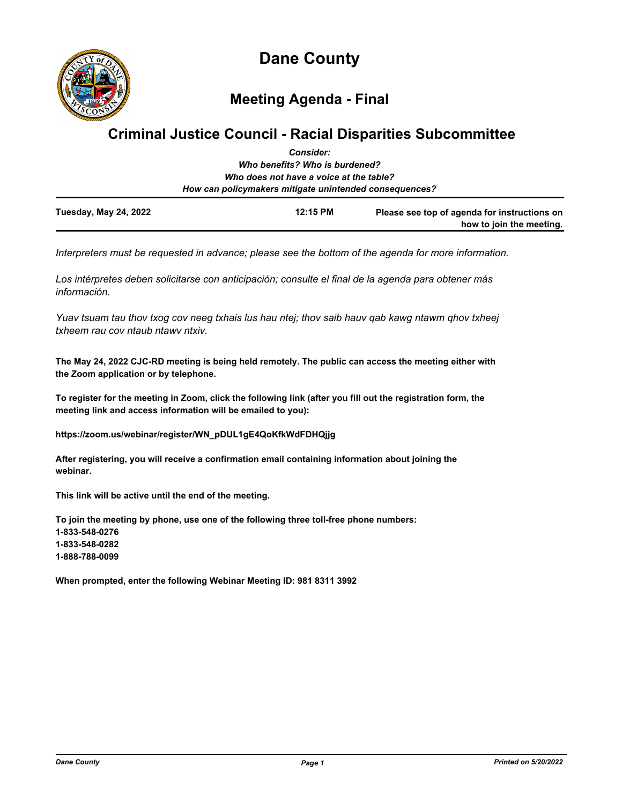

**Meeting Agenda - Final**

# **Criminal Justice Council - Racial Disparities Subcommittee**

|                              | <b>Consider:</b>                                                                                  |                                                                          |
|------------------------------|---------------------------------------------------------------------------------------------------|--------------------------------------------------------------------------|
|                              | Who benefits? Who is burdened?                                                                    |                                                                          |
|                              | Who does not have a voice at the table?<br>How can policymakers mitigate unintended consequences? |                                                                          |
| <b>Tuesday, May 24, 2022</b> | 12:15 PM                                                                                          | Please see top of agenda for instructions on<br>how to join the meeting. |

*Interpreters must be requested in advance; please see the bottom of the agenda for more information.*

*Los intérpretes deben solicitarse con anticipación; consulte el final de la agenda para obtener más información.*

*Yuav tsuam tau thov txog cov neeg txhais lus hau ntej; thov saib hauv qab kawg ntawm qhov txheej txheem rau cov ntaub ntawv ntxiv.*

**The May 24, 2022 CJC-RD meeting is being held remotely. The public can access the meeting either with the Zoom application or by telephone.**

**To register for the meeting in Zoom, click the following link (after you fill out the registration form, the meeting link and access information will be emailed to you):**

**https://zoom.us/webinar/register/WN\_pDUL1gE4QoKfkWdFDHQjjg**

**After registering, you will receive a confirmation email containing information about joining the webinar.**

**This link will be active until the end of the meeting.**

**To join the meeting by phone, use one of the following three toll-free phone numbers: 1-833-548-0276 1-833-548-0282 1-888-788-0099**

**When prompted, enter the following Webinar Meeting ID: 981 8311 3992**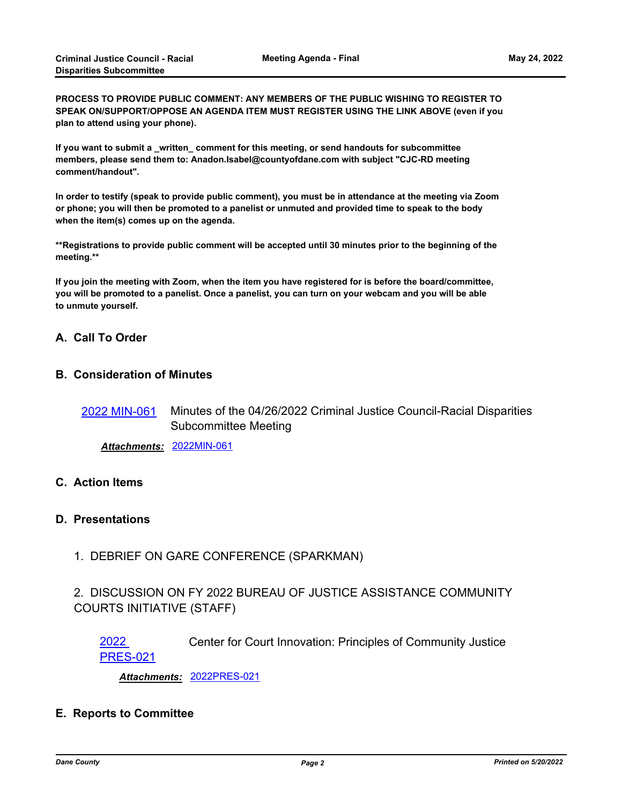**PROCESS TO PROVIDE PUBLIC COMMENT: ANY MEMBERS OF THE PUBLIC WISHING TO REGISTER TO SPEAK ON/SUPPORT/OPPOSE AN AGENDA ITEM MUST REGISTER USING THE LINK ABOVE (even if you plan to attend using your phone).**

If you want to submit a written comment for this meeting, or send handouts for subcommittee **members, please send them to: Anadon.Isabel@countyofdane.com with subject "CJC-RD meeting comment/handout".**

**In order to testify (speak to provide public comment), you must be in attendance at the meeting via Zoom or phone; you will then be promoted to a panelist or unmuted and provided time to speak to the body when the item(s) comes up on the agenda.**

**\*\*Registrations to provide public comment will be accepted until 30 minutes prior to the beginning of the meeting.\*\***

**If you join the meeting with Zoom, when the item you have registered for is before the board/committee, you will be promoted to a panelist. Once a panelist, you can turn on your webcam and you will be able to unmute yourself.**

#### **A. Call To Order**

#### **B. Consideration of Minutes**

Minutes of the 04/26/2022 Criminal Justice Council-Racial Disparities Subcommittee Meeting [2022 MIN-061](http://dane.legistar.com/gateway.aspx?m=l&id=/matter.aspx?key=22900)

*Attachments:* [2022MIN-061](http://dane.legistar.com/gateway.aspx?M=F&ID=10b0ebec-7dd9-496e-b24f-ebd00b690a7b.pdf)

### **C. Action Items**

#### **D. Presentations**

1. DEBRIEF ON GARE CONFERENCE (SPARKMAN)

# 2. DISCUSSION ON FY 2022 BUREAU OF JUSTICE ASSISTANCE COMMUNITY COURTS INITIATIVE (STAFF)

[2022](http://dane.legistar.com/gateway.aspx?m=l&id=/matter.aspx?key=22917) Center for Court Innovation: Principles of Community Justice PRES-021

*Attachments:* [2022PRES-021](http://dane.legistar.com/gateway.aspx?M=F&ID=47fc7b57-3892-47fe-b0bc-f55e8de9445b.pdf)

#### **E. Reports to Committee**